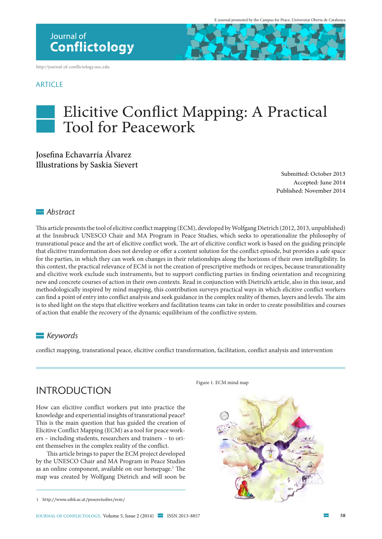http://journal-of-conflictology.uoc.edu

#### **ARTICLE**

# Elicitive Confict Mapping: A Practical Tool for Peacework

#### Josefna Echavarría Álvarez Illustrations by Saskia Sievert

Submitted: October 2013 Accepted: June 2014 Published: November 2014

#### *Abstract*

Tis article presents the tool of elicitive confict mapping (ECM), developed by Wolfgang Dietrich (2012, 2013, unpublished) at the Innsbruck UNESCO Chair and MA Program in Peace Studies, which seeks to operationalize the philosophy of transrational peace and the art of elicitive conflict work. The art of elicitive conflict work is based on the guiding principle that elicitive transformation does not develop or offer a content solution for the conflict episode, but provides a safe space for the parties, in which they can work on changes in their relationships along the horizons of their own intelligibility. In this context, the practical relevance of ECM is not the creation of prescriptive methods or recipes, because transrationality and elicitive work exclude such instruments, but to support conficting parties in fnding orientation and recognizing new and concrete courses of action in their own contexts. Read in conjunction with Dietrich's article, also in this issue, and methodologically inspired by mind mapping, this contribution surveys practical ways in which elicitive confict workers can find a point of entry into conflict analysis and seek guidance in the complex reality of themes, layers and levels. The aim is to shed light on the steps that elicitive workers and facilitation teams can take in order to create possibilities and courses of action that enable the recovery of the dynamic equilibrium of the confictive system.

#### *Keywords*

confict mapping, transrational peace, elicitive confict transformation, facilitation, confict analysis and intervention

### **INTRODUCTION**

How can elicitive conflict workers put into practice the knowledge and experiential insights of transrational peace? This is the main question that has guided the creation of Elicitive Conflict Mapping (ECM) as a tool for peace workers – including students, researchers and trainers – to orient themselves in the complex reality of the conflict.

This article brings to paper the ECM project developed by the UNESCO Chair and MA Program in Peace Studies as an online component, available on our homepage.<sup>1</sup> The map was created by Wolfgang Dietrich and will soon be

Figure 1. ECM mind map



<sup>1</sup> http://www.uibk.ac.at/peacestudies/ecm/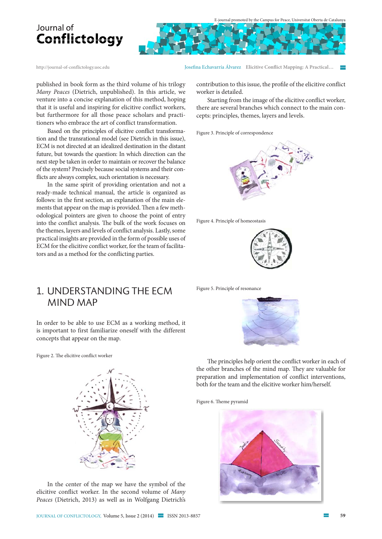

published in book form as the third volume of his trilogy Many Peaces (Dietrich, unpublished). In this article, we venture into a concise explanation of this method, hoping that it is useful and inspiring for elicitive confict workers, but furthermore for all those peace scholars and practitioners who embrace the art of confict transformation.

Based on the principles of elicitive confict transformation and the transrational model (see Dietrich in this issue), ECM is not directed at an idealized destination in the distant future, but towards the question: In which direction can the next step be taken in order to maintain or recover the balance of the system? Precisely because social systems and their conficts are always complex, such orientation is necessary.

In the same spirit of providing orientation and not a ready-made technical manual, the article is organized as follows: in the frst section, an explanation of the main elements that appear on the map is provided. Then a few methodological pointers are given to choose the point of entry into the conflict analysis. The bulk of the work focuses on the themes, layers and levels of confict analysis. Lastly, some practical insights are provided in the form of possible uses of ECM for the elicitive confict worker, for the team of facilitators and as a method for the conficting parties.

1. undERsTAndIng ThE ECM **MIND MAP** 

In order to be able to use ECM as a working method, it is important to first familiarize oneself with the different concepts that appear on the map.

Figure 2. The elicitive conflict worker



In the center of the map we have the symbol of the elicitive confict worker. In the second volume of Many Peaces (Dietrich, 2013) as well as in Wolfgang Dietrich's

http://journal-of-conflictology.uoc.edu Josefna Echavarría Álvarez **Elicitive Confict Mapping: A Practical…** 

contribution to this issue, the profle of the elicitive confict worker is detailed.

Starting from the image of the elicitive confict worker, there are several branches which connect to the main concepts: principles, themes, layers and levels.

Figure 3. Principle of correspondence







Figure 5. Principle of resonance



The principles help orient the conflict worker in each of the other branches of the mind map. They are valuable for preparation and implementation of confict interventions, both for the team and the elicitive worker him/herself.

Figure 6. Theme pyramid

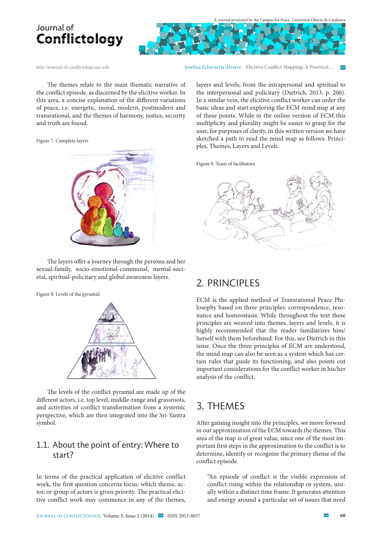



http://journal-of-conflictology.uoc.edu Josefna Echavarría Álvarez **Elicitive Confict Mapping: A Practical…** 

The themes relate to the main thematic narrative of the confict episode, as discerned by the elicitive worker. In this area, a concise explanation of the diferent variations of peace, i.e. energetic, moral, modern, postmodern and transrational, and the themes of harmony, justice, security and truth are found.

Figure 7. Complete layers



The layers offer a journey through the persona and her sexual-family, socio-emotional-communal, mental-societal, spiritual-policitary and global awareness layers.

Figure 8. Levels of the pyramid



The levels of the conflict pyramid are made up of the diferent actors, i.e. top level, middle-range and grassroots, and activities of confict transformation from a systemic perspective, which are then integrated into the Sri-Yantra symbol.

### 1.1. About the point of entry: Where to start?

In terms of the practical application of elicitive conflict work, the first question concerns focus: which theme, actor, or group of actors is given priority. The practical elicitive conflict work may commence in any of the themes, layers and levels, from the intrapersonal and spiritual to the interpersonal and policitary (Dietrich, 2013, p. 206). In a similar vein, the elicitive conflict worker can order the basic ideas and start exploring the ECM mind map at any of these points. While in the online version of ECM this multiplicity and plurality might be easier to grasp for the user, for purposes of clarity, in this written version we have sketched a path to read the mind map as follows: Principles, Themes, Layers and Levels.

Figure 9. Team of facilitators



### 2. pRInCIpLEs

ECM is the applied method of Transrational Peace Philosophy based on three principles: correspondence, resonance and homeostasis. While throughout the text these principles are weaved into themes, layers and levels, it is highly recommended that the reader familiarizes him/ herself with them beforehand. For this, see Dietrich in this issue. Once the three principles of ECM are understood, the mind map can also be seen as a system which has certain rules that guide its functioning, and also points out important considerations for the conflict worker in his/her analysis of the conflict.

### 3. ThEMEs

After gaining insight into the principles, we move forward in our approximation of the ECM towards the themes. This area of the map is of great value, since one of the most important first steps in the approximation to the conflict is to determine, identify or recognize the primary theme of the conflict episode.

"An episode of conflict is the visible expression of conflict rising within the relationship or system, usually within a distinct time frame. It generates attention and energy around a particular set of issues that need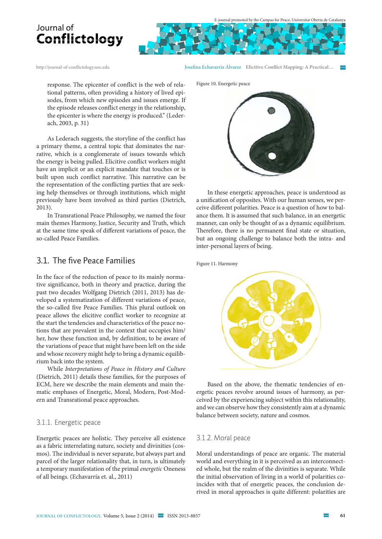http://journal-of-conflictology.uoc.edu Josefna Echavarría Álvarez **Elicitive Confict Mapping: A Practical…** 

response. The epicenter of conflict is the web of relational patterns, often providing a history of lived episodes, from which new episodes and issues emerge. If the episode releases conflict energy in the relationship, the epicenter is where the energy is produced." (Lederach, 2003, p. 31)

As Lederach suggests, the storyline of the confict has a primary theme, a central topic that dominates the narrative, which is a conglomerate of issues towards which the energy is being pulled. Elicitive confict workers might have an implicit or an explicit mandate that touches or is built upon such conflict narrative. This narrative can be the representation of the conficting parties that are seeking help themselves or through institutions, which might previously have been involved as third parties (Dietrich, 2013).

In Transrational Peace Philosophy, we named the four main themes Harmony, Justice, Security and Truth, which at the same time speak of diferent variations of peace, the so-called Peace Families.

#### 3.1. The five Peace Families

In the face of the reduction of peace to its mainly normative significance, both in theory and practice, during the past two decades Wolfgang Dietrich (2011, 2013) has developed a systematization of different variations of peace, the so-called five Peace Families. This plural outlook on peace allows the elicitive conflict worker to recognize at the start the tendencies and characteristics of the peace notions that are prevalent in the context that occupies him/ her, how these function and, by definition, to be aware of the variations of peace that might have been left on the side and whose recovery might help to bring a dynamic equilibrium back into the system.

While Interpretations of Peace in History and Culture (Dietrich, 2011) details these families, for the purposes of ECM, here we describe the main elements and main thematic emphases of Energetic, Moral, Modern, Post-Modern and Transrational peace approaches.

#### 3.1.1. Energetic peace

Energetic peaces are holistic. They perceive all existence as a fabric interrelating nature, society and divinities (cosmos). The individual is never separate, but always part and parcel of the larger relationality that, in turn, is ultimately a temporary manifestation of the primal energetic Oneness of all beings. (Echavarría et. al., 2011)

Figure 10. Energetic peace



In these energetic approaches, peace is understood as a unifcation of opposites. With our human senses, we perceive diferent polarities. Peace is a question of how to balance them. It is assumed that such balance, in an energetic manner, can only be thought of as a dynamic equilibrium. Therefore, there is no permanent final state or situation, but an ongoing challenge to balance both the intra- and inter-personal layers of being.

Figure 11. Harmony



Based on the above, the thematic tendencies of energetic peaces revolve around issues of harmony, as perceived by the experiencing subject within this relationality, and we can observe how they consistently aim at a dynamic balance between society, nature and cosmos.

#### 3.1.2. Moral peace

Moral understandings of peace are organic. The material world and everything in it is perceived as an interconnected whole, but the realm of the divinities is separate. While the initial observation of living in a world of polarities coincides with that of energetic peaces, the conclusion derived in moral approaches is quite different: polarities are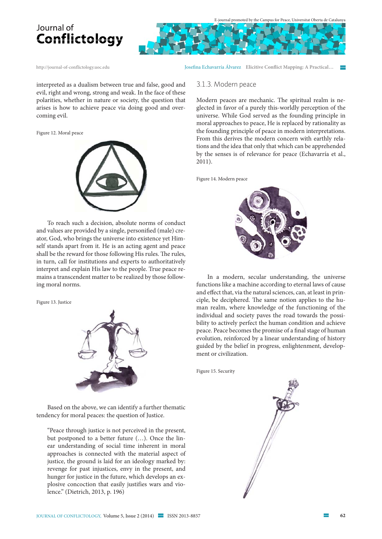



http://journal-of-conflictology.uoc.edu Josefna Echavarría Álvarez **Elicitive Confict Mapping: A Practical…** 

3.1.3. Modern peace

interpreted as a dualism between true and false, good and evil, right and wrong, strong and weak. In the face of these polarities, whether in nature or society, the question that arises is how to achieve peace via doing good and overcoming evil.

Figure 12. Moral peace



To reach such a decision, absolute norms of conduct and values are provided by a single, personifed (male) creator, God, who brings the universe into existence yet Himself stands apart from it. He is an acting agent and peace shall be the reward for those following His rules. The rules, in turn, call for institutions and experts to authoritatively interpret and explain His law to the people. True peace remains a transcendent matter to be realized by those following moral norms.

Figure 13. Justice



Based on the above, we can identify a further thematic tendency for moral peaces: the question of Justice.

"Peace through justice is not perceived in the present, but postponed to a better future (…). Once the linear understanding of social time inherent in moral approaches is connected with the material aspect of justice, the ground is laid for an ideology marked by: revenge for past injustices, envy in the present, and hunger for justice in the future, which develops an explosive concoction that easily justifies wars and violence." (Dietrich, 2013, p. 196)

Modern peaces are mechanic. The spiritual realm is neglected in favor of a purely this-worldly perception of the universe. While God served as the founding principle in moral approaches to peace, He is replaced by rationality as the founding principle of peace in modern interpretations. From this derives the modern concern with earthly relations and the idea that only that which can be apprehended by the senses is of relevance for peace (Echavarría et al., 2011).

Figure 14. Modern peace



In a modern, secular understanding, the universe functions like a machine according to eternal laws of cause and efect that, via the natural sciences, can, at least in principle, be deciphered. The same notion applies to the human realm, where knowledge of the functioning of the individual and society paves the road towards the possibility to actively perfect the human condition and achieve peace. Peace becomes the promise of a fnal stage of human evolution, reinforced by a linear understanding of history guided by the belief in progress, enlightenment, development or civilization.

Figure 15. Security

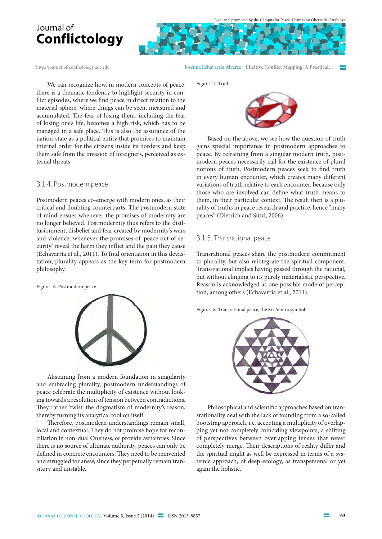

http://journal-of-conflictology.uoc.edu Josefna Echavarría Álvarez **Elicitive Confict Mapping: A Practical…** 

We can recognize how, in modern concepts of peace, there is a thematic tendency to highlight security in confict episodes, where we fnd peace in direct relation to the material sphere, where things can be seen, measured and accumulated. The fear of losing them, including the fear of losing one's life, becomes a high risk, which has to be managed in a safe place. This is also the assurance of the nation-state as a political entity that promises to maintain internal order for the citizens inside its borders and keep them safe from the invasion of foreigners, perceived as external threats.

#### 3.1.4. Postmodern peace

Postmodern peaces co-emerge with modern ones, as their critical and doubting counterparts. The postmodern state of mind ensues whenever the promises of modernity are no longer believed. Postmodernity thus refers to the disillusionment, disbelief and fear created by modernity's wars and violence, whenever the promises of 'peace out of security' reveal the harm they inflict and the pain they cause (Echavarría et al., 2011). To find orientation in this devastation, plurality appears as the key term for postmodern philosophy.

Figure 16. Postmodern peace



Abstaining from a modern foundation in singularity and embracing plurality, postmodern understandings of peace celebrate the multiplicity of existence without looking towards a resolution of tension between contradictions. They rather 'twist' the dogmatism of modernity's reason, thereby turning its analytical tool on itself.

Therefore, postmodern understandings remain small, local and contextual. They do not promise hope for reconciliation in non-dual Oneness, or provide certainties. Since there is no source of ultimate authority, peaces can only be defined in concrete encounters. They need to be reinvented and struggled for anew, since they perpetually remain transitory and unstable.

Figure 17. Truth



Based on the above, we see how the question of truth gains special importance in postmodern approaches to peace. By refraining from a singular modern truth, postmodern peaces necessarily call for the existence of plural notions of truth. Postmodern peaces seek to fnd truth in every human encounter, which creates many diferent variations of truth relative to each encounter, because only those who are involved can defne what truth means to them, in their particular context. The result then is a plurality of truths in peace research and practice, hence "many peaces" (Dietrich and Sützl, 2006).

#### 3.1.5. Transrational peace

Transrational peaces share the postmodern commitment to plurality, but also reintegrate the spiritual component. Trans-rational implies having passed through the rational, but without clinging to its purely materialistic perspective. Reason is acknowledged as one possible mode of perception, among others (Echavarría et al., 2011).

Figure 18. Transrational peace, the Sri-Yantra symbol



Philosophical and scientifc approaches based on transrationality deal with the lack of founding from a so-called bootstrap approach, i.e. accepting a multiplicity of overlapping yet not completely coinciding viewpoints, a shifing of perspectives between overlapping lenses that never completely merge. Their descriptions of reality differ and the spiritual might as well be expressed in terms of a systemic approach, of deep-ecology, as transpersonal or yet again the holistic.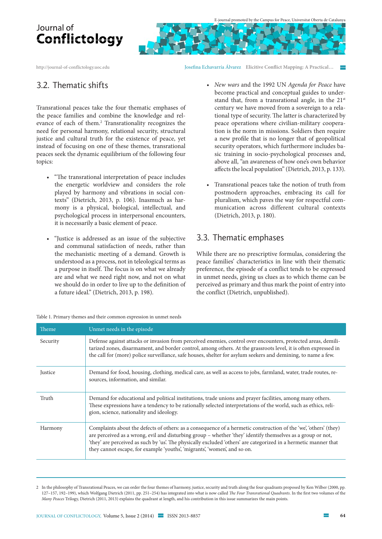http://journal-of-conflictology.uoc.edu Josefna Echavarría Álvarez **Elicitive Confict Mapping: A Practical…** 

### 3.2. Thematic shifts

Transrational peaces take the four thematic emphases of the peace families and combine the knowledge and relevance of each of them.<sup>2</sup> Transrationality recognizes the need for personal harmony, relational security, structural justice and cultural truth for the existence of peace, yet instead of focusing on one of these themes, transrational peaces seek the dynamic equilibrium of the following four topics:

- "The transrational interpretation of peace includes the energetic worldview and considers the role played by harmony and vibrations in social contexts" (Dietrich, 2013, p. 106). Inasmuch as harmony is a physical, biological, intellectual, and psychological process in interpersonal encounters, it is necessarily a basic element of peace.
- t "Justice is addressed as an issue of the subjective and communal satisfaction of needs, rather than the mechanistic meeting of a demand. Growth is understood as a process, not in teleological terms as a purpose in itself. The focus is on what we already are and what we need right now, and not on what we should do in order to live up to the defnition of a future ideal." (Dietrich, 2013, p. 198).
- New wars and the 1992 UN Agenda for Peace have become practical and conceptual guides to understand that, from a transrational angle, in the  $21<sup>st</sup>$ century we have moved from a sovereign to a relational type of security. The latter is characterized by peace operations where civilian-military cooperation is the norm in missions. Soldiers then require a new profle that is no longer that of geopolitical security operators, which furthermore includes basic training in socio-psychological processes and, above all, "an awareness of how one's own behavior afects the local population" (Dietrich, 2013, p. 133).
- Transrational peaces take the notion of truth from postmodern approaches, embracing its call for pluralism, which paves the way for respectful communication across different cultural contexts (Dietrich, 2013, p. 180).

### 3.3. Thematic emphases

While there are no prescriptive formulas, considering the peace families' characteristics in line with their thematic preference, the episode of a conflict tends to be expressed in unmet needs, giving us clues as to which theme can be perceived as primary and thus mark the point of entry into the conflict (Dietrich, unpublished).

| Theme,   | Unmet needs in the episode                                                                                                                                                                                                                                                                                                                                                                                                       |
|----------|----------------------------------------------------------------------------------------------------------------------------------------------------------------------------------------------------------------------------------------------------------------------------------------------------------------------------------------------------------------------------------------------------------------------------------|
| Security | Defense against attacks or invasion from perceived enemies, control over encounters, protected areas, demili-<br>tarized zones, disarmament, and border control, among others. At the grassroots level, it is often expressed in<br>the call for (more) police surveillance, safe houses, shelter for asylum seekers and demining, to name a few.                                                                                |
| Justice  | Demand for food, housing, clothing, medical care, as well as access to jobs, farmland, water, trade routes, re-<br>sources, information, and similar.                                                                                                                                                                                                                                                                            |
| Truth    | Demand for educational and political institutions, trade unions and prayer facilities, among many others.<br>These expressions have a tendency to be rationally selected interpretations of the world, such as ethics, reli-<br>gion, science, nationality and ideology.                                                                                                                                                         |
| Harmony  | Complaints about the defects of others: as a consequence of a hermetic construction of the 'we', 'others' (they)<br>are perceived as a wrong, evil and disturbing group - whether 'they' identify themselves as a group or not,<br>'they' are perceived as such by 'us'. The physically excluded 'others' are categorized in a hermetic manner that<br>they cannot escape, for example 'youths', 'migrants', 'women', and so on. |

Table 1. Primary themes and their common expression in unmet needs

<sup>2</sup> In the philosophy of Transrational Peaces, we can order the four themes of harmony, justice, security and truth along the four quadrants proposed by Ken Wilber (2000, pp. 127-157, 192-199), which Wolfgang Dietrich (2011, pp. 251-254) has integrated into what is now called The Four Transrational Quadrants. In the first two volumes of the Many Peaces Trilogy, Dietrich (2011, 2013) explains the quadrant at length, and his contribution in this issue summarizes the main points.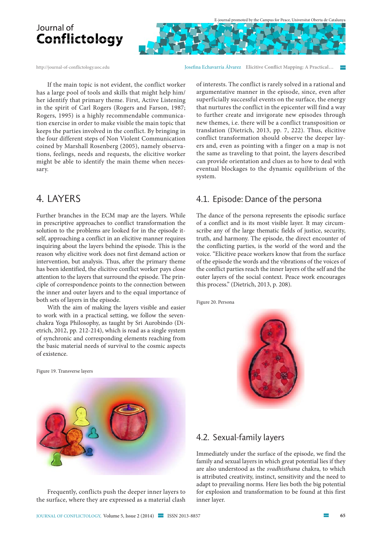

http://journal-of-conflictology.uoc.edu Josefna Echavarría Álvarez **Elicitive Confict Mapping: A Practical…** 

If the main topic is not evident, the conflict worker has a large pool of tools and skills that might help him/ her identify that primary theme. First, Active Listening in the spirit of Carl Rogers (Rogers and Farson, 1987; Rogers, 1995) is a highly recommendable communication exercise in order to make visible the main topic that keeps the parties involved in the conflict. By bringing in the four different steps of Non Violent Communication coined by Marshall Rosenberg (2005), namely observations, feelings, needs and requests, the elicitive worker might be able to identify the main theme when necessary.

### 4. LAyERs

Further branches in the ECM map are the layers. While in prescriptive approaches to conflict transformation the solution to the problems are looked for in the episode itself, approaching a conflict in an elicitive manner requires inquiring about the layers behind the episode. This is the reason why elicitive work does not first demand action or intervention, but analysis. Thus, after the primary theme has been identified, the elicitive conflict worker pays close attention to the layers that surround the episode. The principle of correspondence points to the connection between the inner and outer layers and to the equal importance of both sets of layers in the episode.

With the aim of making the layers visible and easier to work with in a practical setting, we follow the sevenchakra Yoga Philosophy, as taught by Sri Aurobindo (Dietrich, 2012, pp. 212-214), which is read as a single system of synchronic and corresponding elements reaching from the basic material needs of survival to the cosmic aspects of existence.

Figure 19. Transverse layers



Frequently, conflicts push the deeper inner layers to the surface, where they are expressed as a material clash of interests. The conflict is rarely solved in a rational and argumentative manner in the episode, since, even after superficially successful events on the surface, the energy that nurtures the conflict in the epicenter will find a way to further create and invigorate new episodes through new themes, i.e. there will be a conflict transposition or translation (Dietrich, 2013, pp. 7, 222). Thus, elicitive conflict transformation should observe the deeper layers and, even as pointing with a finger on a map is not the same as traveling to that point, the layers described can provide orientation and clues as to how to deal with eventual blockages to the dynamic equilibrium of the system.

### 4.1. Episode: Dance of the persona

The dance of the persona represents the episodic surface of a conflict and is its most visible layer. It may circumscribe any of the large thematic fields of justice, security, truth, and harmony. The episode, the direct encounter of the conflicting parties, is the world of the word and the voice. "Elicitive peace workers know that from the surface of the episode the words and the vibrations of the voices of the conflict parties reach the inner layers of the self and the outer layers of the social context. Peace work encourages this process." (Dietrich, 2013, p. 208).

Figure 20. Persona



#### 4.2. Sexual-family layers

Immediately under the surface of the episode, we find the family and sexual layers in which great potential lies if they are also understood as the svadhisthana chakra, to which is attributed creativity, instinct, sensitivity and the need to adapt to prevailing norms. Here lies both the big potential for explosion and transformation to be found at this first inner layer.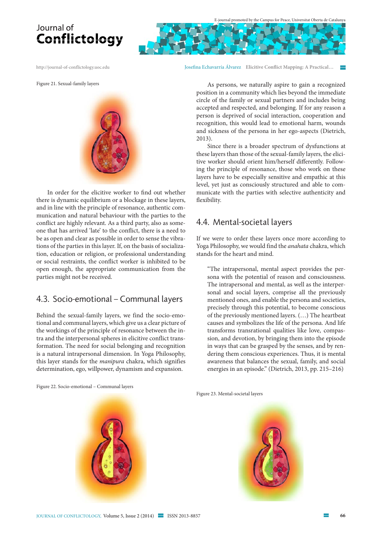http://journal-of-conflictology.uoc.edu Josefna Echavarría Álvarez **Elicitive Confict Mapping: A Practical…** 

Figure 21. Sexual-family layers



In order for the elicitive worker to fnd out whether there is dynamic equilibrium or a blockage in these layers, and in line with the principle of resonance, authentic communication and natural behaviour with the parties to the confict are highly relevant. As a third party, also as someone that has arrived 'late' to the confict, there is a need to be as open and clear as possible in order to sense the vibrations of the parties in this layer. If, on the basis of socialization, education or religion, or professional understanding or social restraints, the confict worker is inhibited to be open enough, the appropriate communication from the parties might not be received.

#### 4.3. Socio-emotional – Communal layers

Behind the sexual-family layers, we find the socio-emotional and communal layers, which give us a clear picture of the workings of the principle of resonance between the intra and the interpersonal spheres in elicitive conflict transformation. The need for social belonging and recognition is a natural intrapersonal dimension. In Yoga Philosophy, this layer stands for the manipura chakra, which signifies determination, ego, willpower, dynamism and expansion.

As persons, we naturally aspire to gain a recognized position in a community which lies beyond the immediate circle of the family or sexual partners and includes being accepted and respected, and belonging. If for any reason a person is deprived of social interaction, cooperation and recognition, this would lead to emotional harm, wounds and sickness of the persona in her ego-aspects (Dietrich, 2013).

Since there is a broader spectrum of dysfunctions at these layers than those of the sexual-family layers, the elicitive worker should orient him/herself diferently. Following the principle of resonance, those who work on these layers have to be especially sensitive and empathic at this level, yet just as consciously structured and able to communicate with the parties with selective authenticity and fexibility.

#### 4.4. Mental-societal layers

If we were to order these layers once more according to Yoga Philosophy, we would find the anahata chakra, which stands for the heart and mind.

"The intrapersonal, mental aspect provides the persona with the potential of reason and consciousness. The intrapersonal and mental, as well as the interpersonal and social layers, comprise all the previously mentioned ones, and enable the persona and societies, precisely through this potential, to become conscious of the previously mentioned layers. (…) The heartbeat causes and symbolizes the life of the persona. And life transforms transrational qualities like love, compassion, and devotion, by bringing them into the episode in ways that can be grasped by the senses, and by rendering them conscious experiences. Thus, it is mental awareness that balances the sexual, family, and social energies in an episode." (Dietrich, 2013, pp. 215–216)

Figure 22. Socio-emotional – Communal layers



Figure 23. Mental-societal layers

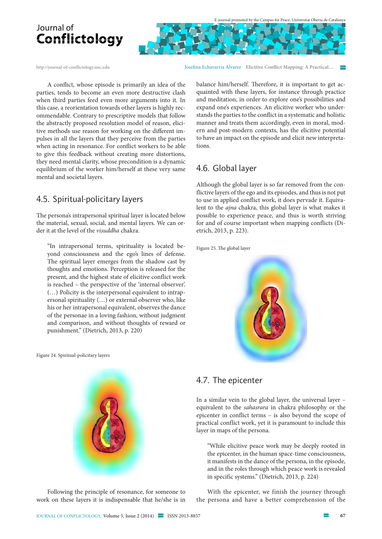

http://journal-of-conflictology.uoc.edu Josefna Echavarría Álvarez **Elicitive Confict Mapping: A Practical…** 

A confict, whose episode is primarily an idea of the parties, tends to become an even more destructive clash when third parties feed even more arguments into it. In this case, a reorientation towards other layers is highly recommendable. Contrary to prescriptive models that follow the abstractly proposed resolution model of reason, elicitive methods use reason for working on the diferent impulses in all the layers that they perceive from the parties when acting in resonance. For confict workers to be able to give this feedback without creating more distortions, they need mental clarity, whose precondition is a dynamic equilibrium of the worker him/herself at these very same mental and societal layers.

### 4.5. Spiritual-policitary layers

The persona's intrapersonal spiritual layer is located below the material, sexual, social, and mental layers. We can order it at the level of the visuddha chakra.

"In intrapersonal terms, spirituality is located beyond consciousness and the ego's lines of defense. The spiritual layer emerges from the shadow cast by thoughts and emotions. Perception is released for the present, and the highest state of elicitive conflict work is reached – the perspective of the 'internal observer'. (…) Policity is the interpersonal equivalent to intrapersonal spirituality (…) or external observer who, like his or her intrapersonal equivalent, observes the dance of the personae in a loving fashion, without judgment and comparison, and without thoughts of reward or punishment." (Dietrich, 2013, p. 220)

Figure 24. Spiritual-policitary layers

Following the principle of resonance, for someone to work on these layers it is indispensable that he/she is in balance him/herself. Therefore, it is important to get acquainted with these layers, for instance through practice and meditation, in order to explore one's possibilities and expand one's experiences. An elicitive worker who understands the parties to the confict in a systematic and holistic manner and treats them accordingly, even in moral, modern and post-modern contexts, has the elicitive potential to have an impact on the episode and elicit new interpretations.

### 4.6. Global layer

Although the global layer is so far removed from the conflictive layers of the ego and its episodes, and thus is not put to use in applied conflict work, it does pervade it. Equivalent to the ajna chakra, this global layer is what makes it possible to experience peace, and thus is worth striving for and of course important when mapping conflicts (Dietrich, 2013, p. 223).

Figure 25. The global layer



#### 4.7. The epicenter

In a similar vein to the global layer, the universal layer – equivalent to the sahasrara in chakra philosophy or the epicenter in conflict terms – is also beyond the scope of practical conflict work, yet it is paramount to include this layer in maps of the persona.

"While elicitive peace work may be deeply rooted in the epicenter, in the human space-time consciousness, it manifests in the dance of the persona, in the episode, and in the roles through which peace work is revealed in specific systems." (Dietrich, 2013, p. 224)

With the epicenter, we finish the journey through the persona and have a better comprehension of the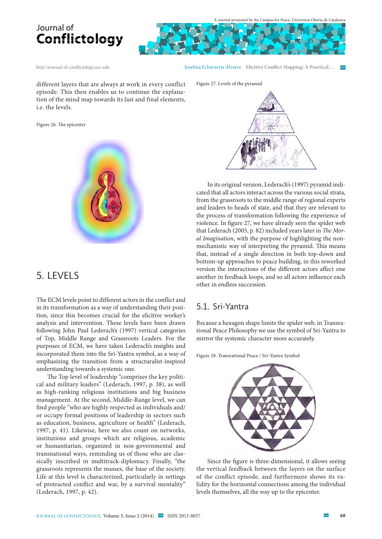





http://journal-of-conflictology.uoc.edu Josefna Echavarría Álvarez **Elicitive Confict Mapping: A Practical…** 

different layers that are always at work in every conflict episode. This then enables us to continue the explanation of the mind map towards its last and final elements, i.e. the levels.

Figure 26. The epicenter



### 5. LEvELs

The ECM levels point to different actors in the conflict and in its transformation as a way of understanding their position, since this becomes crucial for the elicitive worker's analysis and intervention. These levels have been drawn following John Paul Lederach's (1997) vertical categories of Top, Middle Range and Grassroots Leaders. For the purposes of ECM, we have taken Lederach's insights and incorporated them into the Sri-Yantra symbol, as a way of emphasizing the transition from a structuralist-inspired understanding towards a systemic one.

The Top level of leadership "comprises the key political and military leaders" (Lederach, 1997, p. 38), as well as high-ranking religious institutions and big business management. At the second, Middle-Range level, we can fnd people "who are highly respected as individuals and/ or occupy formal positions of leadership in sectors such as education, business, agriculture or health" (Lederach, 1997, p. 41). Likewise, here we also count on networks, institutions and groups which are religious, academic or humanitarian, organized in non-governmental and transnational ways, reminding us of those who are classically inscribed in multitrack-diplomacy. Finally, "the grassroots represents the masses, the base of the society. Life at this level is characterized, particularly in settings of protracted confict and war, by a survival mentality" (Lederach, 1997, p. 42).

Figure 27. Levels of the pyramid

In its original version, Lederach's (1997) pyramid indicated that all actors interact across the various social strata, from the grassroots to the middle range of regional experts and leaders to heads of state, and that they are relevant to the process of transformation following the experience of violence. In fgure 27, we have already seen the spider web that Lederach (2005, p. 82) included years later in The Moral Imagination, with the purpose of highlighting the nonmechanistic way of interpreting the pyramid. This means that, instead of a single direction in both top-down and bottom-up approaches to peace building, in this reworked version the interactions of the diferent actors afect one another in feedback loops, and so all actors infuence each other in endless succession.

#### 5.1. Sri-Yantra

Because a hexagon shape limits the spider web, in Transrational Peace Philosophy we use the symbol of Sri-Yantra to mirror the systemic character more accurately.

Figure 28. Transrational Peace / Sri-Yantra Symbol



Since the fgure is three-dimensional, it allows seeing the vertical feedback between the layers on the surface of the confict episode, and furthermore shows its validity for the horizontal connections among the individual levels themselves, all the way up to the epicenter.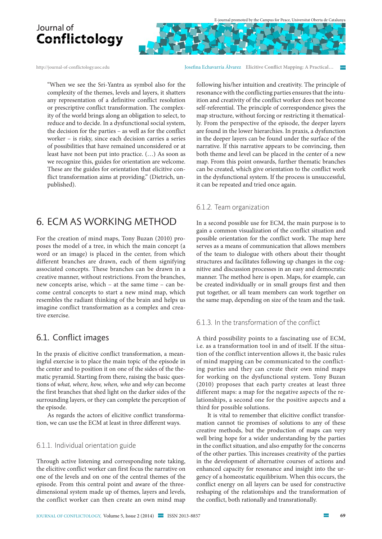http://journal-of-conflictology.uoc.edu Josefna Echavarría Álvarez **Elicitive Confict Mapping: A Practical…** 

"When we see the Sri-Yantra as symbol also for the complexity of the themes, levels and layers, it shatters any representation of a definitive conflict resolution or prescriptive conflict transformation. The complexity of the world brings along an obligation to select, to reduce and to decide. In a dysfunctional social system, the decision for the parties – as well as for the conflict worker – is risky, since each decision carries a series of possibilities that have remained unconsidered or at least have not been put into practice. (…) As soon as we recognize this, guides for orientation are welcome. These are the guides for orientation that elicitive conflict transformation aims at providing." (Dietrich, unpublished).

### 6. ECM As WoRkIng METhod

For the creation of mind maps, Tony Buzan (2010) proposes the model of a tree, in which the main concept (a word or an image) is placed in the center, from which different branches are drawn, each of them signifying associated concepts. These branches can be drawn in a creative manner, without restrictions. From the branches, new concepts arise, which – at the same time – can become central concepts to start a new mind map, which resembles the radiant thinking of the brain and helps us imagine conflict transformation as a complex and creative exercise.

#### 6.1. Conflict images

In the praxis of elicitive conflict transformation, a meaningful exercise is to place the main topic of the episode in the center and to position it on one of the sides of the thematic pyramid. Starting from there, raising the basic questions of what, where, how, when, who and why can become the first branches that shed light on the darker sides of the surrounding layers, or they can complete the perception of the episode.

As regards the actors of elicitive confict transformation, we can use the ECM at least in three diferent ways.

#### 6.1.1. Individual orientation guide

Through active listening and corresponding note taking, the elicitive conflict worker can first focus the narrative on one of the levels and on one of the central themes of the episode. From this central point and aware of the threedimensional system made up of themes, layers and levels, the conflict worker can then create an own mind map

following his/her intuition and creativity. The principle of resonance with the conflicting parties ensures that the intuition and creativity of the conflict worker does not become self-referential. The principle of correspondence gives the map structure, without forcing or restricting it thematically. From the perspective of the episode, the deeper layers are found in the lower hierarchies. In praxis, a dysfunction in the deeper layers can be found under the surface of the narrative. If this narrative appears to be convincing, then both theme and level can be placed in the center of a new map. From this point onwards, further thematic branches can be created, which give orientation to the conflict work in the dysfunctional system. If the process is unsuccessful, it can be repeated and tried once again.

#### 6.1.2. Team organization

In a second possible use for ECM, the main purpose is to gain a common visualization of the conflict situation and possible orientation for the conflict work. The map here serves as a means of communication that allows members of the team to dialogue with others about their thought structures and facilitates following up changes in the cognitive and discussion processes in an easy and democratic manner. The method here is open. Maps, for example, can be created individually or in small groups first and then put together, or all team members can work together on the same map, depending on size of the team and the task.

#### $6.1.3$ . In the transformation of the conflict

A third possibility points to a fascinating use of ECM, i.e. as a transformation tool in and of itself. If the situation of the conflict intervention allows it, the basic rules of mind mapping can be communicated to the conflicting parties and they can create their own mind maps for working on the dysfunctional system. Tony Buzan (2010) proposes that each party creates at least three different maps: a map for the negative aspects of the relationships, a second one for the positive aspects and a third for possible solutions.

It is vital to remember that elicitive confict transformation cannot tie promises of solutions to any of these creative methods, but the production of maps can very well bring hope for a wider understanding by the parties in the confict situation, and also empathy for the concerns of the other parties. This increases creativity of the parties in the development of alternative courses of actions and enhanced capacity for resonance and insight into the urgency of a homeostatic equilibrium. When this occurs, the confict energy on all layers can be used for constructive reshaping of the relationships and the transformation of the confict, both rationally and transrationally.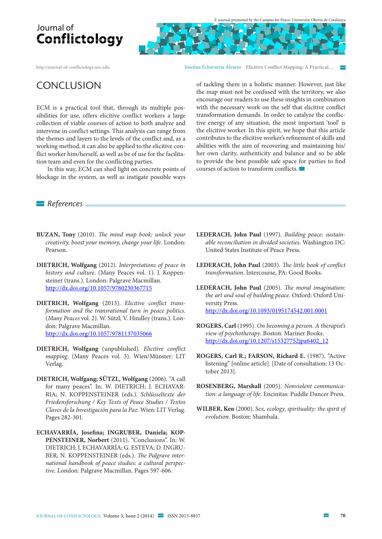http://journal-of-conflictology.uoc.edu Josefna Echavarría Álvarez **Elicitive Confict Mapping: A Practical…** 

### **CONCLUSION**

ECM is a practical tool that, through its multiple possibilities for use, offers elicitive conflict workers a large collection of viable courses of action to both analyze and intervene in conflict settings. This analysis can range from the themes and layers to the levels of the conflict and, as a working method, it can also be applied to the elicitive conflict worker him/herself, as well as be of use for the facilitation team and even for the conflicting parties.

In this way, ECM can shed light on concrete points of blockage in the system, as well as instigate possible ways

of tackling them in a holistic manner. However, just like the map must not be confused with the territory, we also encourage our readers to use these insights in combination with the necessary work on the self that elicitive confict transformation demands. In order to catalyze the confictive energy of any situation, the most important 'tool' is the elicitive worker. In this spirit, we hope that this article contributes to the elicitive worker's refnement of skills and abilities with the aim of recovering and maintaining his/ her own clarity, authenticity and balance and so be able to provide the best possible safe space for parties to fnd courses of action to transform conficts.

*References*

- **BUZAN, Tony** (2010). The mind map book: unlock your creativity, boost your memory, change your life. London: Pearson.
- **DIETRICH, Wolfgang** (2012). Interpretations of peace in history and culture. (Many Peaces vol. 1). J. Koppensteiner (trans.). London: Palgrave Macmillan. http://dx.doi.org/10.1057/9780230367715
- **DIETRICH, Wolfgang** (2013). Elicitive confict transformation and the transrational turn in peace politics. (Many Peaces vol. 2). W. Sützl; V. Hindley (trans.). London: Palgrave Macmillan. http://dx.doi.org/10.1057/9781137035066
- **DIETRICH, Wolfgang** (unpublished). Elicitive confict mapping. (Many Peaces vol. 3). Wien/Münster: LIT Verlag.
- **DIETRICH, Wolfgang; SÜTZL, Wolfgang** (2006). "A call for many peaces". In: W. DIETRICH; J. ECHAVAR-RIA; N. KOPPENSTEINER (eds.). Schlüsseltexte der Friedensforschung / Key Texts of Peace Studies / Textos Claves de la Investigación para la Paz. Wien: LIT Verlag. Pages 282-301.
- **ECHAVARRÍA, Josefna; INGRUBER, Daniela; KOP-PENSTEINER, Norbert** (2011). "Conclusions". In: W. DIETRICH; J. ECHAVARRÍA; G. ESTEVA; D. INGRU-BER; N. KOPPENSTEINER (eds.). The Palgrave international handbook of peace studies: a cultural perspective. London: Palgrave Macmillan. Pages 597-606.
- **LEDERACH, John Paul** (1997). Building peace: sustainable reconciliation in divided societies. Washington DC: United States Institute of Peace Press.
- LEDERACH, John Paul (2003). The little book of conflict transformation. Intercourse, PA: Good Books.
- **LEDERACH, John Paul** (2005). The moral imagination: the art and soul of building peace. Oxford: Oxford University Press. http://dx.doi.org/10.1093/0195174542.001.0001
- **ROGERS, Carl** (1995). On becoming a person. A therapist's view of psychotherapy. Boston: Mariner Books. http://dx.doi.org/10.1207/s15327752jpa6402\_12
- **ROGERS, Carl R.; FARSON, Richard E.** (1987). "Active listening" [online article]. [Date of consultation: 13 October 2013].
- **ROSENBERG, Marshall** (2005). Nonviolent communication: a language of life. Encinitas: Puddle Dancer Press.
- **WILBER, Ken** (2000). Sex, ecology, spirituality: the spirit of evolution. Boston: Shambala.